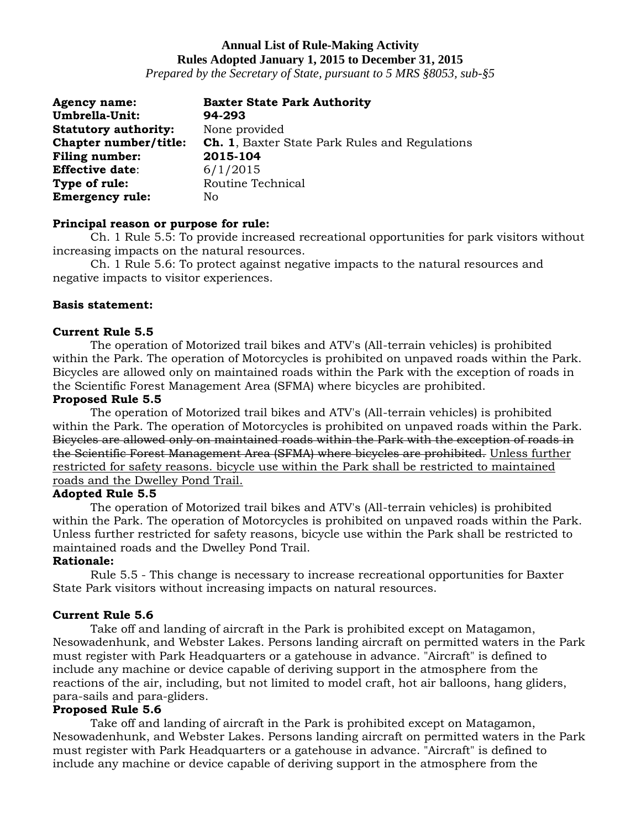# **Annual List of Rule-Making Activity Rules Adopted January 1, 2015 to December 31, 2015**

*Prepared by the Secretary of State, pursuant to 5 MRS §8053, sub-§5*

| <b>Agency name:</b>         | <b>Baxter State Park Authority</b>                    |
|-----------------------------|-------------------------------------------------------|
| Umbrella-Unit:              | 94-293                                                |
| <b>Statutory authority:</b> | None provided                                         |
| Chapter number/title:       | <b>Ch. 1, Baxter State Park Rules and Regulations</b> |
| <b>Filing number:</b>       | 2015-104                                              |
| <b>Effective date:</b>      | 6/1/2015                                              |
| Type of rule:               | Routine Technical                                     |
| <b>Emergency rule:</b>      | No                                                    |

# **Principal reason or purpose for rule:**

Ch. 1 Rule 5.5: To provide increased recreational opportunities for park visitors without increasing impacts on the natural resources.

Ch. 1 Rule 5.6: To protect against negative impacts to the natural resources and negative impacts to visitor experiences.

### **Basis statement:**

#### **Current Rule 5.5**

The operation of Motorized trail bikes and ATV's (All-terrain vehicles) is prohibited within the Park. The operation of Motorcycles is prohibited on unpaved roads within the Park. Bicycles are allowed only on maintained roads within the Park with the exception of roads in the Scientific Forest Management Area (SFMA) where bicycles are prohibited.

# **Proposed Rule 5.5**

The operation of Motorized trail bikes and ATV's (All-terrain vehicles) is prohibited within the Park. The operation of Motorcycles is prohibited on unpaved roads within the Park. Bicycles are allowed only on maintained roads within the Park with the exception of roads in the Scientific Forest Management Area (SFMA) where bicycles are prohibited. Unless further restricted for safety reasons. bicycle use within the Park shall be restricted to maintained roads and the Dwelley Pond Trail.

### **Adopted Rule 5.5**

The operation of Motorized trail bikes and ATV's (All-terrain vehicles) is prohibited within the Park. The operation of Motorcycles is prohibited on unpaved roads within the Park. Unless further restricted for safety reasons, bicycle use within the Park shall be restricted to maintained roads and the Dwelley Pond Trail.

#### **Rationale:**

Rule 5.5 - This change is necessary to increase recreational opportunities for Baxter State Park visitors without increasing impacts on natural resources.

### **Current Rule 5.6**

Take off and landing of aircraft in the Park is prohibited except on Matagamon, Nesowadenhunk, and Webster Lakes. Persons landing aircraft on permitted waters in the Park must register with Park Headquarters or a gatehouse in advance. "Aircraft" is defined to include any machine or device capable of deriving support in the atmosphere from the reactions of the air, including, but not limited to model craft, hot air balloons, hang gliders, para-sails and para-gliders.

#### **Proposed Rule 5.6**

Take off and landing of aircraft in the Park is prohibited except on Matagamon, Nesowadenhunk, and Webster Lakes. Persons landing aircraft on permitted waters in the Park must register with Park Headquarters or a gatehouse in advance. "Aircraft" is defined to include any machine or device capable of deriving support in the atmosphere from the